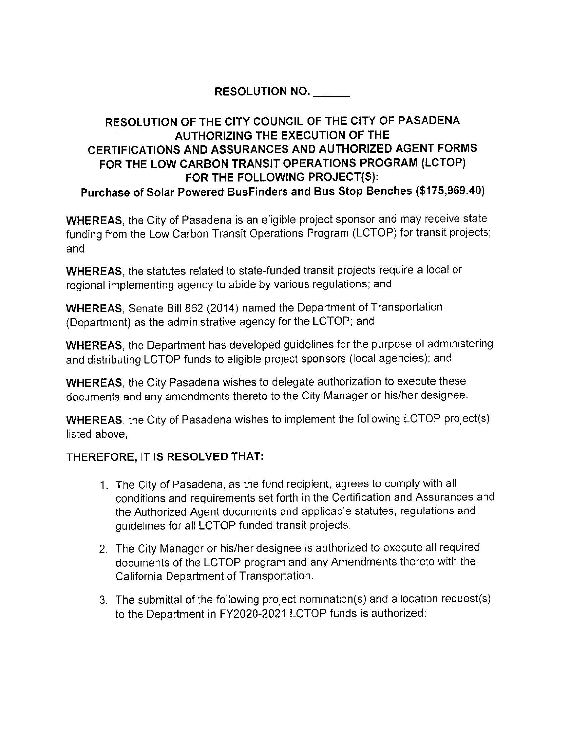## **RESOLUTION NO.** \_\_\_\_\_

## **RESOLUTION OF THE CITY COUNCIL OF THE CITY OF PASADENA AUTHORIZING THE EXECUTION OF THE CERTIFICATIONS AND ASSURANCES AND AUTHORIZED AGENT FORMS FOR THE LOW CARBON TRANSIT OPERATIONS PROGRAM (LCTOP) FOR THE FOLLOWING PROJECT(S): Purchase of Solar Powered Busfinders and Bus Stop Benches (\$175,969.40)**

**WHEREAS,** the City of Pasadena is an eligible project sponsor and may receive state funding from the Low Carbon Transit Operations Program (LCTOP) for transit projects; and

**WHEREAS,** the statutes related to state-funded transit projects require a local or regional implementing agency to abide by various regulations; and

**WHEREAS,** Senate Bill 862 (2014) named the Department of Transportation (Department) as the administrative agency for the LCTOP; and

**WHEREAS,** the Department has developed guidelines for the purpose of administering and distributing LCTOP funds to eligible project sponsors (local agencies); and

**WHEREAS,** the City Pasadena wishes to delegate authorization to execute these documents and any amendments thereto to the City Manager or his/her designee.

**WHEREAS,** the City of Pasadena wishes to implement the following LCTOP project(s) listed above,

## **THEREFORE, IT IS RESOLVED THAT:**

- 1. The City of Pasadena, as the fund recipient, agrees to comply with all conditions and requirements set forth in the Certification and Assurances and the Authorized Agent documents and applicable statutes, regulations and guidelines for all LCTOP funded transit projects.
- 2. The City Manager or his/her designee is authorized to execute all required documents of the LCTOP program and any Amendments thereto with the California Department of Transportation.
- 3. The submittal of the following project nomination(s) and allocation request(s) to the Department in FY2020-2021 LCTOP funds is authorized: